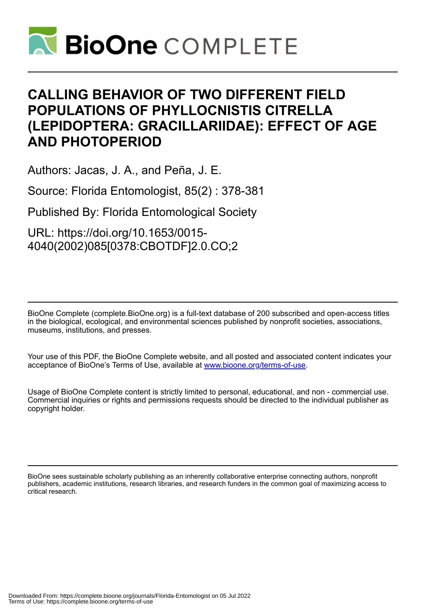

## **CALLING BEHAVIOR OF TWO DIFFERENT FIELD POPULATIONS OF PHYLLOCNISTIS CITRELLA (LEPIDOPTERA: GRACILLARIIDAE): EFFECT OF AGE AND PHOTOPERIOD**

Authors: Jacas, J. A., and Peña, J. E.

Source: Florida Entomologist, 85(2) : 378-381

Published By: Florida Entomological Society

URL: https://doi.org/10.1653/0015- 4040(2002)085[0378:CBOTDF]2.0.CO;2

BioOne Complete (complete.BioOne.org) is a full-text database of 200 subscribed and open-access titles in the biological, ecological, and environmental sciences published by nonprofit societies, associations, museums, institutions, and presses.

Your use of this PDF, the BioOne Complete website, and all posted and associated content indicates your acceptance of BioOne's Terms of Use, available at www.bioone.org/terms-of-use.

Usage of BioOne Complete content is strictly limited to personal, educational, and non - commercial use. Commercial inquiries or rights and permissions requests should be directed to the individual publisher as copyright holder.

BioOne sees sustainable scholarly publishing as an inherently collaborative enterprise connecting authors, nonprofit publishers, academic institutions, research libraries, and research funders in the common goal of maximizing access to critical research.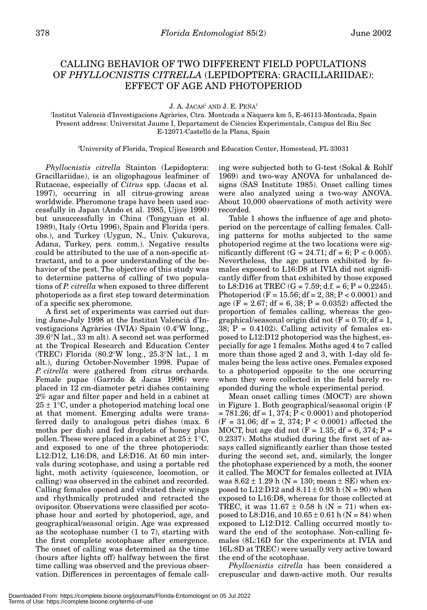## CALLING BEHAVIOR OF TWO DIFFERENT FIELD POPULATIONS OF *PHYLLOCNISTIS CITRELLA* (LEPIDOPTERA: GRACILLARIIDAE): EFFECT OF AGE AND PHOTOPERIOD

J. A. JACAS<sup>1</sup> AND J. E. PEÑA<sup>2</sup>

1 Institut Valencià d'Investigacions Agràries, Ctra. Montcada a Nàquera km 5, E-46113-Montcada, Spain Present address: Universitat Jaume I, Departament de Ciències Experimentals, Campus del Riu Sec E-12071-Castelló de la Plana, Spain

2 University of Florida, Tropical Research and Education Center, Homestead, FL 33031

*Phyllocnistis citrella* Stainton (Lepidoptera: Gracillariidae), is an oligophagous leafminer of Rutaceae, especially of *Citrus* spp. (Jacas et al. 1997), occurring in all citrus-growing areas worldwide. Pheromone traps have been used successfully in Japan (Ando et al. 1985, Ujiye 1990) but unsuccessfully in China (Tongyuan et al. 1989), Italy (Ortu 1996), Spain and Florida (pers. obs.), and Turkey (Uygun, N., Univ. Çukurova, Adana, Turkey, pers. comm.). Negative results could be attributed to the use of a non-specific attractant, and to a poor understanding of the behavior of the pest. The objective of this study was to determine patterns of calling of two populations of *P. citrella* when exposed to three different photoperiods as a first step toward determination of a specific sex pheromone.

A first set of experiments was carried out during June-July 1998 at the Institut Valencià d'Investigacions Agràries (IVIA) Spain (0.4°W long., 39.6°N lat., 33 m alt). A second set was performed at the Tropical Research and Education Center (TREC) Florida (80.2°W long., 25.3°N lat., 1 m alt.), during October-November 1998. Pupae of *P. citrella* were gathered from citrus orchards. Female pupae (Garrido & Jacas 1996) were placed in 12 cm-diameter petri dishes containing 2% agar and filter paper and held in a cabinet at  $25 \pm 1$ °C, under a photoperiod matching local one at that moment. Emerging adults were transferred daily to analogous petri dishes (max. 6 moths per dish) and fed droplets of honey plus pollen. These were placed in a cabinet at  $25 \pm 1^{\circ}C$ , and exposed to one of the three photoperiods: L12:D12, L16:D8, and L8:D16. At 60 min intervals during scotophase, and using a portable red light, moth activity (quiescence, locomotion, or calling) was observed in the cabinet and recorded. Calling females opened and vibrated their wings and rhythmically protruded and retracted the ovipositor. Observations were classified per scotophase hour and sorted by photoperiod, age, and geographical/seasonal origin. Age was expressed as the scotophase number (1 to 7), starting with the first complete scotophase after emergence. The onset of calling was determined as the time (hours after lights off) halfway between the first time calling was observed and the previous observation. Differences in percentages of female call-

ing were subjected both to G-test (Sokal & Rohlf 1969) and two-way ANOVA for unbalanced designs (SAS Institute 1985). Onset calling times were also analyzed using a two-way ANOVA. About 10,000 observations of moth activity were recorded.

Table 1 shows the influence of age and photoperiod on the percentage of calling females. Calling patterns for moths subjected to the same photoperiod regime at the two locations were significantly different  $(G = 24.71; df = 6; P < 0.005)$ . Nevertheless, the age pattern exhibited by females exposed to L16:D8 at IVIA did not significantly differ from that exhibited by those exposed to L8:D16 at TREC  $(G = 7.59; d.f. = 6; P = 0.2245)$ . Photoperiod (F = 15.56; df = 2, 38; P < 0.0001) and age (F = 2.67; df = 6, 38; P = 0.0352) affected the proportion of females calling, whereas the geographical/seasonal origin did not  $(F = 0.70; df = 1,$ 38;  $P = 0.4102$ . Calling activity of females exposed to L12:D12 photoperiod was the highest, especially for age 1 females. Moths aged 4 to 7 called more than those aged 2 and 3, with 1-day old females being the less active ones. Females exposed to a photoperiod opposite to the one occurring when they were collected in the field barely responded during the whole experimental period.

Mean onset calling times (MOCT) are shown in Figure 1. Both geographical/seasonal origin (F  $= 781.26$ ; df  $= 1, 374$ ;  $P < 0.0001$ ) and photoperiod  $(F = 31.06; df = 2, 374; P < 0.0001)$  affected the MOCT, but age did not  $(F = 1.35; df = 6, 374; P =$ 0.2337). Moths studied during the first set of assays called significantly earlier than those tested during the second set, and, similarly, the longer the photophase experienced by a moth, the sooner it called. The MOCT for females collected at IVIA was  $8.62 \pm 1.29$  h (N = 130; mean  $\pm$  SE) when exposed to L12:D12 and  $8.11 \pm 0.93$  h (N = 90) when exposed to L16:D8, whereas for those collected at TREC, it was  $11.67 \pm 0.58$  h (N = 71) when exposed to L8:D16, and  $10.65 \pm 0.61$  h (N = 84) when exposed to L12:D12. Calling occurred mostly toward the end of the scotophase. Non-calling females (8L:16D for the experiments at IVIA and 16L:8D at TREC) were usually very active toward the end of the scotophase.

*Phyllocnistis citrella* has been considered a crepuscular and dawn-active moth. Our results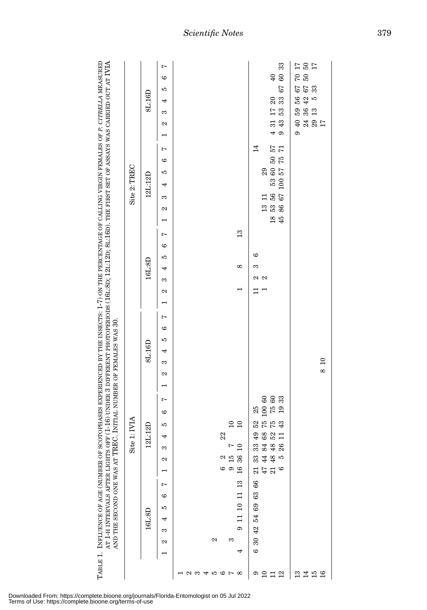| PF (1-16) UNDER 3 DIFFERENT PHOTOPERIODS (161:80; 121:120; 81:160). THE FIRST SET OF ASSAYS WAS CARRIED OUT AT IVIA<br>OTOPHASES EXPERIENCED BY THE INSECTS: 1-7) ON THE PERCENTAGE OF CALLING VIRGIN FEMALES OF P. CITRELLA MEASURED | $\operatorname{Site} 2$ : TREC |
|---------------------------------------------------------------------------------------------------------------------------------------------------------------------------------------------------------------------------------------|--------------------------------|
| C. INITIAL NUMBER OF FEMALES WAS 30.<br>TABLE 1. INFLUENCE OF AGE (NUMBER OF SCC<br>AT 1-H INTERVALS AFTER LIGHTS OF<br>AND THE SECOND ONE WAS AT TREN                                                                                | Site                           |

|              | 8L:16D  | $\overline{a}$<br>6<br>rC<br>4<br>S<br>2 |                                                                               | 33<br>60<br>40<br>67<br><u>ន</u><br>ន<br>$43117$<br>$94353$                                                                                          | $\frac{77}{26}$<br>67 70<br>67 50<br>33<br>56<br>42<br>F)<br>$\begin{array}{c} 36 \\ 13 \end{array}$<br>59<br>$24$<br>$29$<br>$17$<br>$\overline{6}$<br>$\sigma$ |
|--------------|---------|------------------------------------------|-------------------------------------------------------------------------------|------------------------------------------------------------------------------------------------------------------------------------------------------|------------------------------------------------------------------------------------------------------------------------------------------------------------------|
| Site 2: TREC | 12L:12D | $\overline{a}$<br>6<br>rC<br>4<br>S<br>2 |                                                                               | 14<br>$\frac{12}{5}$<br>$\begin{array}{c} 29 \\ 53 \\ 60 \\ 57 \\ 75 \\ \end{array},$<br>$^{56}_{67}$<br>$\Box$<br>53<br>86<br>13<br>$\frac{18}{45}$ |                                                                                                                                                                  |
|              | 16L:8D  | $\overline{a}$<br>6<br>rC<br>4<br>S<br>2 | $\frac{3}{2}$<br>$\infty$<br>$\mathbf{\mathbf{r}}$                            | G<br>6<br>$\approx \infty$                                                                                                                           |                                                                                                                                                                  |
|              | 8L:16D  | $\overline{ }$<br>6<br>rC<br>4<br>S<br>2 |                                                                               |                                                                                                                                                      | $\overline{10}$<br>$\infty$                                                                                                                                      |
| Site 1: IVIA | 12L:12D | $\overline{ }$<br>6<br>rC<br>4<br>S<br>N | $\frac{10}{10}$<br>22<br>$7\,$ $2\,$<br>36<br>$\frac{2}{15}$<br>$\frac{6}{9}$ | $\frac{100}{75}$ 60<br>19 33<br>25<br>52<br>75<br>75<br>43<br><b>ទូ ខូ 2 H</b><br>33 4 8<br>33 4 30<br>34 36<br>LO<br>$\frac{1}{2}$<br>$\circ$       |                                                                                                                                                                  |
|              | 16L:8D  | Ņ<br>6<br>rC<br>4<br>S<br>2              | $11\ 10\ 11\ 13$<br>$\sigma$<br>2<br>S<br>4                                   | 66<br>30 42 54 69 63<br>$\circ$                                                                                                                      |                                                                                                                                                                  |
|              |         |                                          | $\sim$<br>4567<br>8                                                           | $\degree$ $\degree$ $\degree$ $\degree$ $\degree$                                                                                                    | 22 15 16<br>24 16                                                                                                                                                |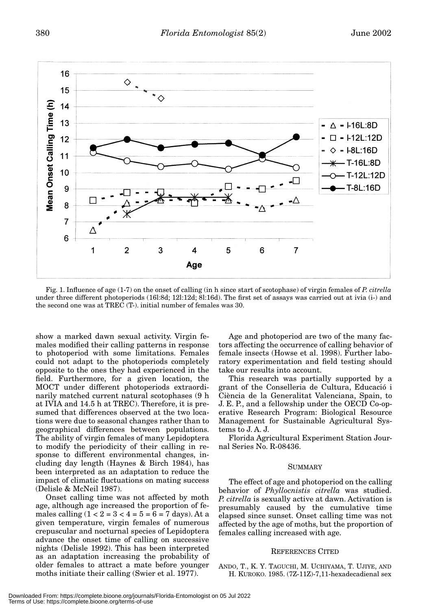

Fig. 1. Influence of age (1-7) on the onset of calling (in h since start of scotophase) of virgin females of *P. citrella* under three different photoperiods (16l:8d; 12l:12d; 8l:16d). The first set of assays was carried out at ivia (i-) and the second one was at TREC (T-). initial number of females was 30.

show a marked dawn sexual activity. Virgin females modified their calling patterns in response to photoperiod with some limitations. Females could not adapt to the photoperiods completely opposite to the ones they had experienced in the field. Furthermore, for a given location, the MOCT under different photoperiods extraordinarily matched current natural scotophases (9 h at IVIA and 14.5 h at TREC). Therefore, it is presumed that differences observed at the two locations were due to seasonal changes rather than to geographical differences between populations. The ability of virgin females of many Lepidoptera to modify the periodicity of their calling in response to different environmental changes, including day length (Haynes & Birch 1984), has been interpreted as an adaptation to reduce the impact of climatic fluctuations on mating success (Delisle & McNeil 1987).

Onset calling time was not affected by moth age, although age increased the proportion of females calling  $(1 < 2 = 3 < 4 = 5 = 6 = 7$  days). At a given temperature, virgin females of numerous crepuscular and nocturnal species of Lepidoptera advance the onset time of calling on successive nights (Delisle 1992). This has been interpreted as an adaptation increasing the probability of older females to attract a mate before younger moths initiate their calling (Swier et al. 1977).

Age and photoperiod are two of the many factors affecting the occurrence of calling behavior of female insects (Howse et al. 1998). Further laboratory experimentation and field testing should take our results into account.

This research was partially supported by a grant of the Conselleria de Cultura, Educació i Ciència de la Generalitat Valenciana, Spain, to J. E. P., and a fellowship under the OECD Co-operative Research Program: Biological Resource Management for Sustainable Agricultural Systems to J. A. J.

Florida Agricultural Experiment Station Journal Series No. R-08436.

## SUMMARY

The effect of age and photoperiod on the calling behavior of *Phyllocnistis citrella* was studied. *P. citrella* is sexually active at dawn. Activation is presumably caused by the cumulative time elapsed since sunset. Onset calling time was not affected by the age of moths, but the proportion of females calling increased with age.

## REFERENCES CITED

ANDO, T., K. Y. TAGUCHI, M. UCHIYAMA, T. UJIYE, AND H. KUROKO. 1985. (7Z-11Z)-7,11-hexadecadienal sex